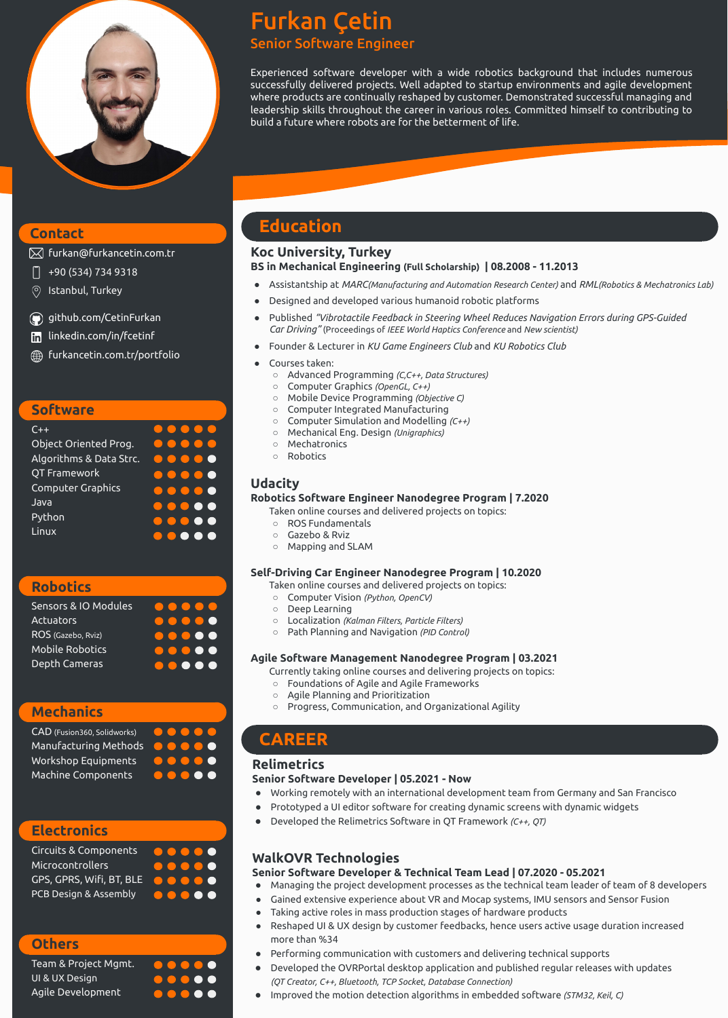# Furkan Çetin Senior Software Engineer

Experienced software developer with a wide robotics background that includes numerous successfully delivered projects. Well adapted to startup environments and agile development where products are continually reshaped by customer. Demonstrated successful managing and leadership skills throughout the career in various roles. Committed himself to contributing to build a future where robots are for the betterment of life.

# **Education**

#### **Koc University, Turkey BS in Mechanical Engineering (Full Scholarship) | 08.2008 - 11.2013**

- Assistantship at *MARC(Manufacturing and Automation Research Center)* and *RML(Robotics & Mechatronics Lab)*
- Designed and developed various humanoid robotic platforms
- Published *"Vibrotactile Feedback in Steering Wheel Reduces Navigation Errors during GPS-Guided Car Driving"* (Proceedings of *IEEE World Haptics Conference* and *New scientist)*
- Founder & Lecturer in *KU Game Engineers Club* and *KU Robotics Club*
- Courses taken:
	- Advanced Programming *(C,C++, Data Structures)*
	- Computer Graphics *(OpenGL, C++)*
	- Mobile Device Programming *(Objective C)*
	- Computer Integrated Manufacturing
	- Computer Simulation and Modelling *(C++)*
	- Mechanical Eng. Design *(Unigraphics)*
	- Mechatronics
	- Robotics

## **Udacity**

- Managing the project development processes as the technical team leader of team of 8 developers
- Gained extensive experience about VR and Mocap systems, IMU sensors and Sensor Fusion
- Taking active roles in mass production stages of hardware products
	-

#### **Robotics Software Engineer Nanodegree Program | 7.2020**

Taken online courses and delivered projects on topics:

- ROS Fundamentals
- Gazebo & Rviz
- Mapping and SLAM

#### **Self-Driving Car Engineer Nanodegree Program | 10.2020**

Taken online courses and delivered projects on topics:

- Computer Vision *(Python, OpenCV)*
- Deep Learning
- Localization *(Kalman Filters, Particle Filters)*
- Path Planning and Navigation *(PID Control)*

#### **Agile Software Management Nanodegree Program | 03.2021**

[furkan@furkancetin.com.tr](mailto:furkan@furkancetin.com.tr)  $|\!\!\!\times\!\!\!|$ 

- +90 (534) 734 9318
- Istanbul, Turkey  $\circledcirc$
- [github.com/CetinFurkan](http://github.com/CetinFurkan)
- [linkedin.com/in/fcetinf](http://www.linkedin.com/in/fcetinf)   $\left[\mathsf{in}\right]$
- [furkancetin.com.tr/portfolio](http://www.furkancetin.com.tr/portfolio)∰

Currently taking online courses and delivering projects on topics:

- Foundations of Agile and Agile Frameworks
- Agile Planning and Prioritization
- Progress, Communication, and Organizational Agility

### **Relimetrics**

#### **Senior Software Developer | 05.2021 - Now**

- Working remotely with an international development team from Germany and San Francisco
- Prototyped a UI editor software for creating dynamic screens with dynamic widgets
- Developed the Relimetrics Software in QT Framework *(C++, QT)*

## **WalkOVR Technologies**

#### **Senior Software Developer & Technical Team Lead | 07.2020 - 05.2021**

● Reshaped UI & UX design by customer feedbacks, hence users active usage duration increased more than %34

● Performing communication with customers and delivering technical supports

● Developed the OVRPortal desktop application and published regular releases with updates

*(QT Creator, C++, Bluetooth, TCP Socket, Database Connection)*

● Improved the motion detection algorithms in embedded software *(STM32, Keil, C)*

# **CAREER**

### **Software**

| $C++$                   | .                                     |
|-------------------------|---------------------------------------|
| Object Oriented Prog.   | $\bullet$ $\bullet$                   |
| Algorithms & Data Strc. |                                       |
| QT Framework            | $\bullet\bullet\bullet\bullet\bullet$ |
| Computer Graphics       | $\bullet\bullet\bullet\bullet\bullet$ |
| Java                    | $\bullet\bullet\bullet\bullet\bullet$ |
| Python                  | $\bullet\bullet\bullet\bullet\bullet$ |
| Linux                   |                                       |

## **Robotics**

| Sensors & IO Modules   | <b>.</b> .                            |
|------------------------|---------------------------------------|
| Actuators              | $\bullet\bullet\bullet\bullet$        |
| ROS (Gazebo, Rviz)     |                                       |
| <b>Mobile Robotics</b> | $\bullet\bullet\bullet\bullet\bullet$ |
| Depth Cameras          | $\bullet\bullet\bullet\bullet$        |

## **Mechanics**

CAD (Fusion360, Solidworks) Manufacturing Methods Workshop Equipments Machine Components

### **Electronics**

| Circuits & Components                 | $\bullet\bullet\bullet\bullet\bullet$             |
|---------------------------------------|---------------------------------------------------|
| Microcontrollers                      | $\bullet$ $\bullet$ $\bullet$ $\bullet$ $\bullet$ |
| GPS, GPRS, Wifi, BT, BLE <b>OOOOO</b> |                                                   |
| <b>PCB Design &amp; Assembly</b>      | <b>.</b>                                          |

 $\bullet\bullet\bullet\bullet\bullet$ 

 $\bullet$   $\bullet$ 





### **Contact**